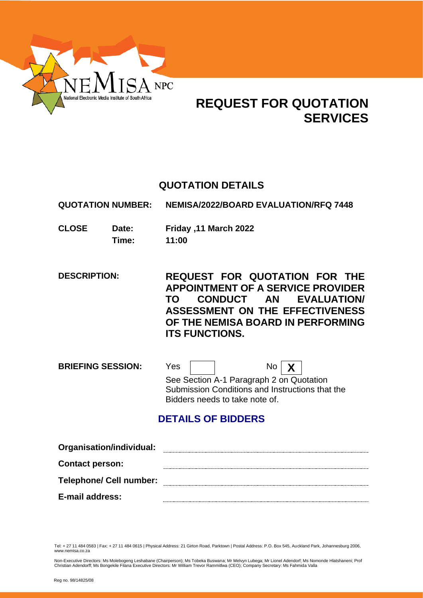

# **REQUEST FOR QUOTATION SERVICES**

# **QUOTATION DETAILS**

**QUOTATION NUMBER: NEMISA/2022/BOARD EVALUATION/RFQ 7448**

**CLOSE Date: Friday ,11 March 2022 Time: 11:00**

**DESCRIPTION: REQUEST FOR QUOTATION FOR THE APPOINTMENT OF A SERVICE PROVIDER TO CONDUCT AN EVALUATION/ ASSESSMENT ON THE EFFECTIVENESS OF THE NEMISA BOARD IN PERFORMING ITS FUNCTIONS.**

**BRIEFING SESSION:** Yes | | No | **X** See Section A-1 Paragraph 2 on Quotation Submission Conditions and Instructions that the Bidders needs to take note of.

# **DETAILS OF BIDDERS**

| Organisation/individual:       |  |
|--------------------------------|--|
| <b>Contact person:</b>         |  |
| <b>Telephone/ Cell number:</b> |  |
| E-mail address:                |  |

Tel: + 27 11 484 0583 | Fax: + 27 11 484 0615 | Physical Address: 21 Girton Road, Parktown | Postal Address: P.O. Box 545, Auckland Park, Johannesburg 2006, www.nemisa.co.za

Non-Executive Directors: Ms Molebogeng Leshabane (Chairperson); Ms Tobeka Buswana; Mr Melvyn Lubega; Mr Lionel Adendorf; Ms Nomonde Hlatshaneni; Prof<br>Christian Adendorff; Ms Bongekile Filana Executive Directors: Mr William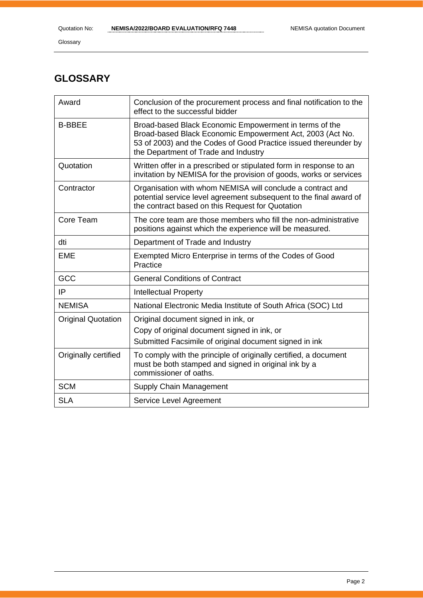# **GLOSSARY**

| Award                     | Conclusion of the procurement process and final notification to the<br>effect to the successful bidder                                                                                                                         |
|---------------------------|--------------------------------------------------------------------------------------------------------------------------------------------------------------------------------------------------------------------------------|
| <b>B-BBEE</b>             | Broad-based Black Economic Empowerment in terms of the<br>Broad-based Black Economic Empowerment Act, 2003 (Act No.<br>53 of 2003) and the Codes of Good Practice issued thereunder by<br>the Department of Trade and Industry |
| Quotation                 | Written offer in a prescribed or stipulated form in response to an<br>invitation by NEMISA for the provision of goods, works or services                                                                                       |
| Contractor                | Organisation with whom NEMISA will conclude a contract and<br>potential service level agreement subsequent to the final award of<br>the contract based on this Request for Quotation                                           |
| Core Team                 | The core team are those members who fill the non-administrative<br>positions against which the experience will be measured.                                                                                                    |
| dti                       | Department of Trade and Industry                                                                                                                                                                                               |
| <b>EME</b>                | Exempted Micro Enterprise in terms of the Codes of Good<br>Practice                                                                                                                                                            |
| GCC                       | <b>General Conditions of Contract</b>                                                                                                                                                                                          |
| IP                        | <b>Intellectual Property</b>                                                                                                                                                                                                   |
| <b>NEMISA</b>             | National Electronic Media Institute of South Africa (SOC) Ltd                                                                                                                                                                  |
| <b>Original Quotation</b> | Original document signed in ink, or<br>Copy of original document signed in ink, or<br>Submitted Facsimile of original document signed in ink                                                                                   |
| Originally certified      | To comply with the principle of originally certified, a document<br>must be both stamped and signed in original ink by a<br>commissioner of oaths.                                                                             |
| <b>SCM</b>                | Supply Chain Management                                                                                                                                                                                                        |
| <b>SLA</b>                | Service Level Agreement                                                                                                                                                                                                        |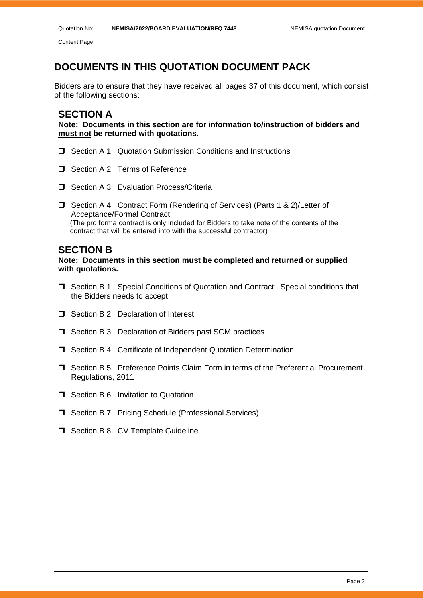# **DOCUMENTS IN THIS QUOTATION DOCUMENT PACK**

Bidders are to ensure that they have received all pages 37 of this document, which consist of the following sections:

### **SECTION A**

**Note: Documents in this section are for information to/instruction of bidders and must not be returned with quotations.**

- **J** Section A 1: Quotation Submission Conditions and Instructions
- Section A 2: Terms of Reference
- □ Section A 3: Evaluation Process/Criteria
- □ Section A 4: Contract Form (Rendering of Services) (Parts 1 & 2)/Letter of Acceptance/Formal Contract (The pro forma contract is only included for Bidders to take note of the contents of the contract that will be entered into with the successful contractor)

#### **SECTION B**

**Note: Documents in this section must be completed and returned or supplied with quotations.**

- Section B 1: Special Conditions of Quotation and Contract: Special conditions that the Bidders needs to accept
- $\Box$  Section B 2: Declaration of Interest
- □ Section B 3: Declaration of Bidders past SCM practices
- Section B 4: Certificate of Independent Quotation Determination
- Section B 5: Preference Points Claim Form in terms of the Preferential Procurement Regulations, 2011
- **T** Section B 6: Invitation to Quotation
- □ Section B 7: Pricing Schedule (Professional Services)
- $\Box$  Section B 8: CV Template Guideline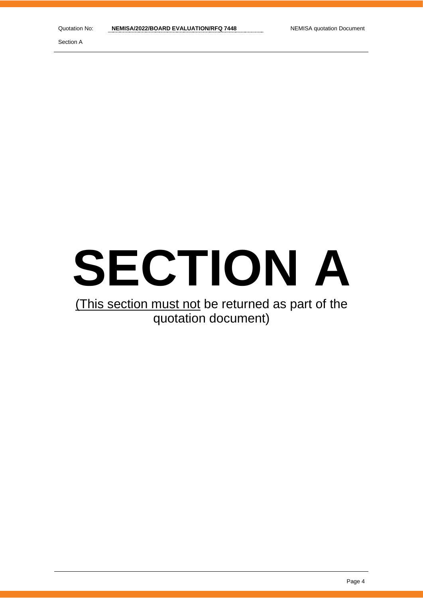# **SECTION A**

# (This section must not be returned as part of the quotation document)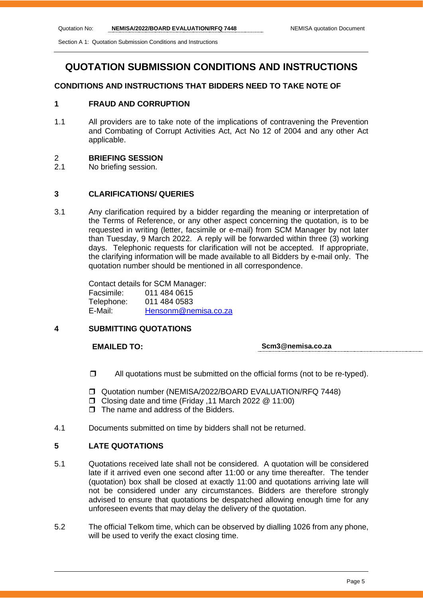Section A 1: Quotation Submission Conditions and Instructions

# **QUOTATION SUBMISSION CONDITIONS AND INSTRUCTIONS**

#### **CONDITIONS AND INSTRUCTIONS THAT BIDDERS NEED TO TAKE NOTE OF**

#### **1 FRAUD AND CORRUPTION**

1.1 All providers are to take note of the implications of contravening the Prevention and Combating of Corrupt Activities Act, Act No 12 of 2004 and any other Act applicable.

#### 2 **BRIEFING SESSION**

2.1 No briefing session.

#### **3 CLARIFICATIONS/ QUERIES**

3.1 Any clarification required by a bidder regarding the meaning or interpretation of the Terms of Reference, or any other aspect concerning the quotation, is to be requested in writing (letter, facsimile or e-mail) from SCM Manager by not later than Tuesday, 9 March 2022. A reply will be forwarded within three (3) working days. Telephonic requests for clarification will not be accepted. If appropriate, the clarifying information will be made available to all Bidders by e-mail only. The quotation number should be mentioned in all correspondence.

> Contact details for SCM Manager: Facsimile: 011 484 0615 Telephone: 011 484 0583 E-Mail: [Hensonm@nemisa.co.za](mailto:Hensonm@nemisa.co.za)

#### **4 SUBMITTING QUOTATIONS**

#### **EMAILED TO: Scm3@nemisa.co.za**

- $\Box$  All quotations must be submitted on the official forms (not to be re-typed).
- Quotation number (NEMISA/2022/BOARD EVALUATION/RFQ 7448)
- Closing date and time (Friday ,11 March 2022 @ 11:00)
- $\Box$  The name and address of the Bidders.
- 4.1 Documents submitted on time by bidders shall not be returned.

#### **5 LATE QUOTATIONS**

- 5.1 Quotations received late shall not be considered. A quotation will be considered late if it arrived even one second after 11:00 or any time thereafter. The tender (quotation) box shall be closed at exactly 11:00 and quotations arriving late will not be considered under any circumstances. Bidders are therefore strongly advised to ensure that quotations be despatched allowing enough time for any unforeseen events that may delay the delivery of the quotation.
- 5.2 The official Telkom time, which can be observed by dialling 1026 from any phone, will be used to verify the exact closing time.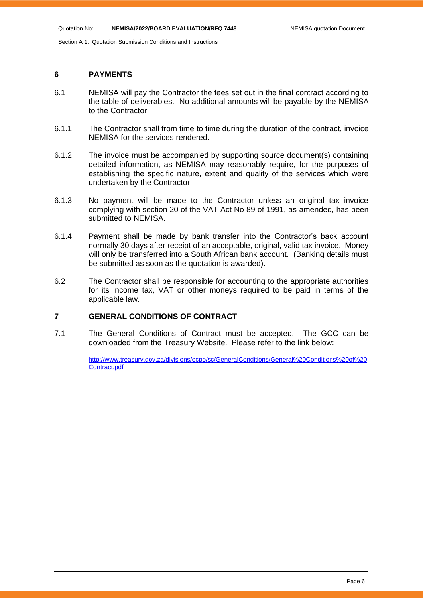Section A 1: Quotation Submission Conditions and Instructions

#### **6 PAYMENTS**

- 6.1 NEMISA will pay the Contractor the fees set out in the final contract according to the table of deliverables. No additional amounts will be payable by the NEMISA to the Contractor.
- 6.1.1 The Contractor shall from time to time during the duration of the contract, invoice NEMISA for the services rendered.
- 6.1.2 The invoice must be accompanied by supporting source document(s) containing detailed information, as NEMISA may reasonably require, for the purposes of establishing the specific nature, extent and quality of the services which were undertaken by the Contractor.
- 6.1.3 No payment will be made to the Contractor unless an original tax invoice complying with section 20 of the VAT Act No 89 of 1991, as amended, has been submitted to NEMISA.
- 6.1.4 Payment shall be made by bank transfer into the Contractor's back account normally 30 days after receipt of an acceptable, original, valid tax invoice. Money will only be transferred into a South African bank account. (Banking details must be submitted as soon as the quotation is awarded).
- 6.2 The Contractor shall be responsible for accounting to the appropriate authorities for its income tax, VAT or other moneys required to be paid in terms of the applicable law.

#### **7 GENERAL CONDITIONS OF CONTRACT**

7.1 The General Conditions of Contract must be accepted. The GCC can be downloaded from the Treasury Website. Please refer to the link below:

> [http://www.treasury.gov.za/divisions/ocpo/sc/GeneralConditions/General%20Conditions%20of%20](http://www.treasury.gov.za/divisions/ocpo/sc/GeneralConditions/General%20Conditions%20of%20Contract.pdf) [Contract.pdf](http://www.treasury.gov.za/divisions/ocpo/sc/GeneralConditions/General%20Conditions%20of%20Contract.pdf)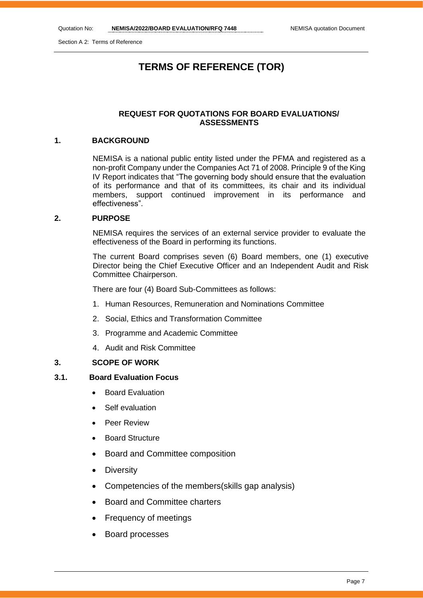Section A 2: Terms of Reference

# **TERMS OF REFERENCE (TOR)**

#### **REQUEST FOR QUOTATIONS FOR BOARD EVALUATIONS/ ASSESSMENTS**

#### **1. BACKGROUND**

NEMISA is a national public entity listed under the PFMA and registered as a non-profit Company under the Companies Act 71 of 2008. Principle 9 of the King IV Report indicates that "The governing body should ensure that the evaluation of its performance and that of its committees, its chair and its individual members, support continued improvement in its performance and effectiveness".

#### **2. PURPOSE**

NEMISA requires the services of an external service provider to evaluate the effectiveness of the Board in performing its functions.

The current Board comprises seven (6) Board members, one (1) executive Director being the Chief Executive Officer and an Independent Audit and Risk Committee Chairperson.

There are four (4) Board Sub-Committees as follows:

- 1. Human Resources, Remuneration and Nominations Committee
- 2. Social, Ethics and Transformation Committee
- 3. Programme and Academic Committee
- 4. Audit and Risk Committee

#### **3. SCOPE OF WORK**

#### **3.1. Board Evaluation Focus**

- **Board Evaluation**
- Self evaluation
- Peer Review
- Board Structure
- Board and Committee composition
- Diversity
- Competencies of the members(skills gap analysis)
- Board and Committee charters
- Frequency of meetings
- Board processes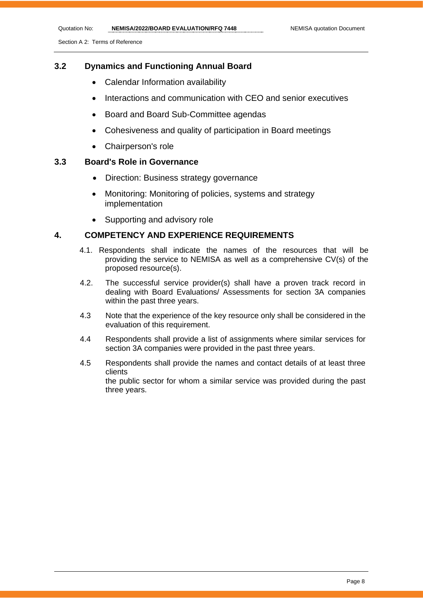Quotation No: **NEMISA/2022/BOARD EVALUATION/RFQ 7448** NEMISA quotation Document

Section A 2: Terms of Reference

#### **3.2 Dynamics and Functioning Annual Board**

- Calendar Information availability
- Interactions and communication with CEO and senior executives
- Board and Board Sub-Committee agendas
- Cohesiveness and quality of participation in Board meetings
- Chairperson's role

#### **3.3 Board's Role in Governance**

- Direction: Business strategy governance
- Monitoring: Monitoring of policies, systems and strategy implementation
- Supporting and advisory role

#### **4. COMPETENCY AND EXPERIENCE REQUIREMENTS**

- 4.1. Respondents shall indicate the names of the resources that will be providing the service to NEMISA as well as a comprehensive CV(s) of the proposed resource(s).
- 4.2. The successful service provider(s) shall have a proven track record in dealing with Board Evaluations/ Assessments for section 3A companies within the past three years.
- 4.3 Note that the experience of the key resource only shall be considered in the evaluation of this requirement.
- 4.4 Respondents shall provide a list of assignments where similar services for section 3A companies were provided in the past three years.
- 4.5 Respondents shall provide the names and contact details of at least three clients the public sector for whom a similar service was provided during the past three years.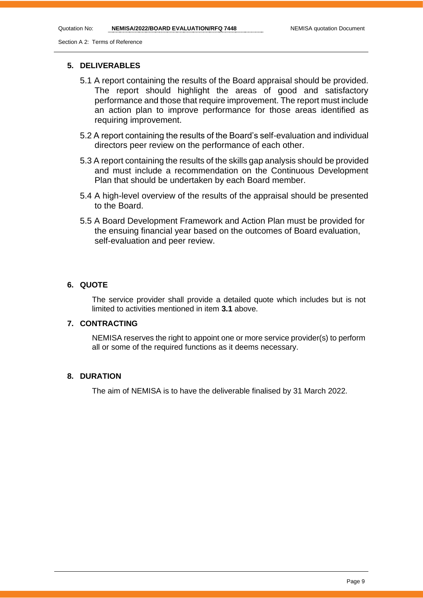Quotation No: **NEMISA/2022/BOARD EVALUATION/RFQ 7448** NEMISA quotation Document

Section A 2: Terms of Reference

#### **5. DELIVERABLES**

- 5.1 A report containing the results of the Board appraisal should be provided. The report should highlight the areas of good and satisfactory performance and those that require improvement. The report must include an action plan to improve performance for those areas identified as requiring improvement.
- 5.2 A report containing the results of the Board's self-evaluation and individual directors peer review on the performance of each other.
- 5.3 A report containing the results of the skills gap analysis should be provided and must include a recommendation on the Continuous Development Plan that should be undertaken by each Board member.
- 5.4 A high-level overview of the results of the appraisal should be presented to the Board.
- 5.5 A Board Development Framework and Action Plan must be provided for the ensuing financial year based on the outcomes of Board evaluation, self-evaluation and peer review.

#### **6. QUOTE**

The service provider shall provide a detailed quote which includes but is not limited to activities mentioned in item **3.1** above.

#### **7. CONTRACTING**

NEMISA reserves the right to appoint one or more service provider(s) to perform all or some of the required functions as it deems necessary.

#### **8. DURATION**

The aim of NEMISA is to have the deliverable finalised by 31 March 2022.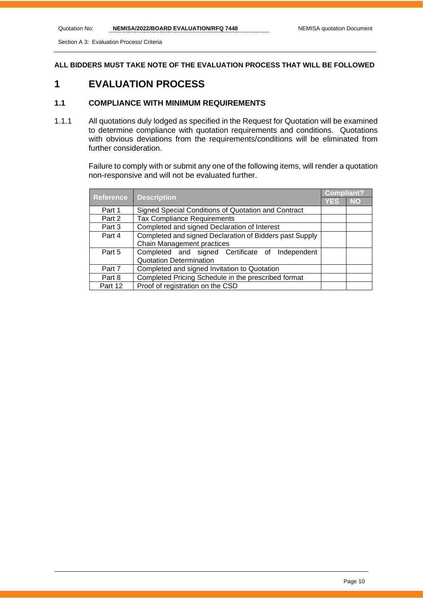Section A 3: Evaluation Process/ Criteria

**ALL BIDDERS MUST TAKE NOTE OF THE EVALUATION PROCESS THAT WILL BE FOLLOWED**

# **1 EVALUATION PROCESS**

#### **1.1 COMPLIANCE WITH MINIMUM REQUIREMENTS**

1.1.1 All quotations duly lodged as specified in the Request for Quotation will be examined to determine compliance with quotation requirements and conditions. Quotations with obvious deviations from the requirements/conditions will be eliminated from further consideration.

> Failure to comply with or submit any one of the following items, will render a quotation non-responsive and will not be evaluated further.

|                  | <b>Description</b>                                      |            | <b>Compliant?</b> |
|------------------|---------------------------------------------------------|------------|-------------------|
| <b>Reference</b> |                                                         | <b>YES</b> | <b>NO</b>         |
| Part 1           | Signed Special Conditions of Quotation and Contract     |            |                   |
| Part 2           | <b>Tax Compliance Requirements</b>                      |            |                   |
| Part 3           | Completed and signed Declaration of Interest            |            |                   |
| Part 4           | Completed and signed Declaration of Bidders past Supply |            |                   |
|                  | Chain Management practices                              |            |                   |
| Part 5           | Completed and signed Certificate of Independent         |            |                   |
|                  | <b>Quotation Determination</b>                          |            |                   |
| Part 7           | Completed and signed Invitation to Quotation            |            |                   |
| Part 8           | Completed Pricing Schedule in the prescribed format     |            |                   |
| Part 12          | Proof of registration on the CSD                        |            |                   |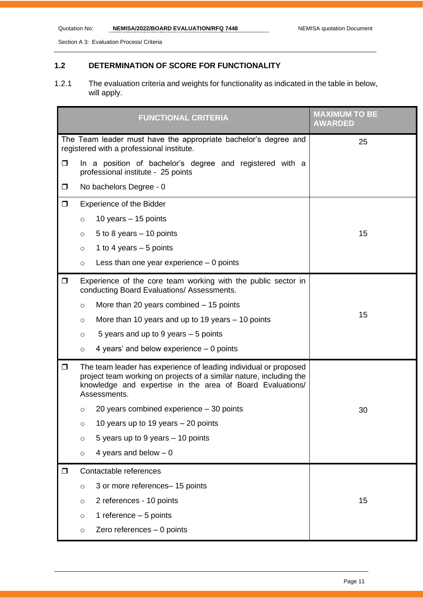Section A 3: Evaluation Process/ Criteria

### **1.2 DETERMINATION OF SCORE FOR FUNCTIONALITY**

1.2.1 The evaluation criteria and weights for functionality as indicated in the table in below, will apply.

|        | <b>FUNCTIONAL CRITERIA</b>                                                                                                                                                                                           | <b>MAXIMUM TO BE</b><br><b>AWARDED</b> |
|--------|----------------------------------------------------------------------------------------------------------------------------------------------------------------------------------------------------------------------|----------------------------------------|
|        | The Team leader must have the appropriate bachelor's degree and<br>registered with a professional institute.                                                                                                         | 25                                     |
| $\Box$ | In a position of bachelor's degree and registered with a<br>professional institute - 25 points                                                                                                                       |                                        |
| $\Box$ | No bachelors Degree - 0                                                                                                                                                                                              |                                        |
| $\Box$ | <b>Experience of the Bidder</b>                                                                                                                                                                                      |                                        |
|        | 10 years $-$ 15 points<br>$\circ$                                                                                                                                                                                    |                                        |
|        | 5 to 8 years $-$ 10 points<br>$\circ$                                                                                                                                                                                | 15                                     |
|        | 1 to 4 years $-5$ points<br>$\circ$                                                                                                                                                                                  |                                        |
|        | Less than one year experience $-0$ points<br>$\circ$                                                                                                                                                                 |                                        |
| $\Box$ | Experience of the core team working with the public sector in<br>conducting Board Evaluations/ Assessments.                                                                                                          |                                        |
|        | More than 20 years combined $-15$ points<br>$\circ$                                                                                                                                                                  |                                        |
|        | More than 10 years and up to 19 years $-$ 10 points<br>$\circ$                                                                                                                                                       | 15                                     |
|        | 5 years and up to 9 years - 5 points<br>$\circ$                                                                                                                                                                      |                                        |
|        | 4 years' and below experience $-$ 0 points<br>$\circ$                                                                                                                                                                |                                        |
| $\Box$ | The team leader has experience of leading individual or proposed<br>project team working on projects of a similar nature, including the<br>knowledge and expertise in the area of Board Evaluations/<br>Assessments. |                                        |
|        | 20 years combined experience $-30$ points<br>$\circ$                                                                                                                                                                 | 30                                     |
|        | 10 years up to 19 years - 20 points                                                                                                                                                                                  |                                        |
|        | 5 years up to 9 years - 10 points<br>$\circ$                                                                                                                                                                         |                                        |
|        | 4 years and below $-0$<br>$\circ$                                                                                                                                                                                    |                                        |
| $\Box$ | Contactable references                                                                                                                                                                                               |                                        |
|        | 3 or more references- 15 points<br>$\circ$                                                                                                                                                                           |                                        |
|        | 2 references - 10 points<br>$\circ$                                                                                                                                                                                  | 15                                     |
|        | 1 reference $-5$ points<br>$\circ$                                                                                                                                                                                   |                                        |
|        | Zero references $-0$ points<br>$\circ$                                                                                                                                                                               |                                        |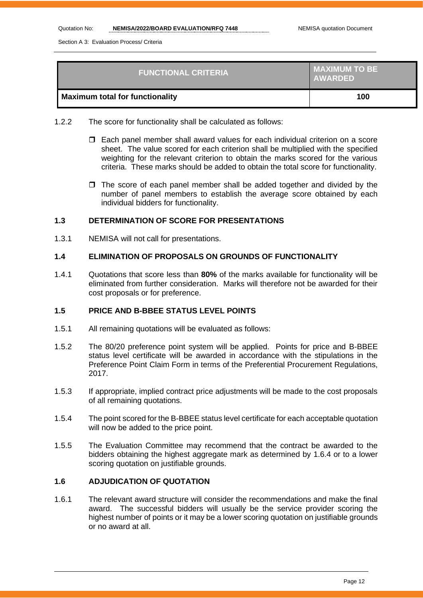Section A 3: Evaluation Process/ Criteria

| <b>FUNCTIONAL CRITERIA</b>             | MAXIMUM TO BE<br><b>AWARDED</b> |
|----------------------------------------|---------------------------------|
| <b>Maximum total for functionality</b> | 100                             |

- 1.2.2 The score for functionality shall be calculated as follows:
	- Each panel member shall award values for each individual criterion on a score sheet. The value scored for each criterion shall be multiplied with the specified weighting for the relevant criterion to obtain the marks scored for the various criteria. These marks should be added to obtain the total score for functionality.
	- $\Box$  The score of each panel member shall be added together and divided by the number of panel members to establish the average score obtained by each individual bidders for functionality.

#### **1.3 DETERMINATION OF SCORE FOR PRESENTATIONS**

1.3.1 NEMISA will not call for presentations.

#### **1.4 ELIMINATION OF PROPOSALS ON GROUNDS OF FUNCTIONALITY**

1.4.1 Quotations that score less than **80%** of the marks available for functionality will be eliminated from further consideration. Marks will therefore not be awarded for their cost proposals or for preference.

#### **1.5 PRICE AND B-BBEE STATUS LEVEL POINTS**

- 1.5.1 All remaining quotations will be evaluated as follows:
- 1.5.2 The 80/20 preference point system will be applied. Points for price and B-BBEE status level certificate will be awarded in accordance with the stipulations in the Preference Point Claim Form in terms of the Preferential Procurement Regulations, 2017.
- 1.5.3 If appropriate, implied contract price adjustments will be made to the cost proposals of all remaining quotations.
- 1.5.4 The point scored for the B-BBEE status level certificate for each acceptable quotation will now be added to the price point.
- 1.5.5 The Evaluation Committee may recommend that the contract be awarded to the bidders obtaining the highest aggregate mark as determined by 1.6.4 or to a lower scoring quotation on justifiable grounds.

#### **1.6 ADJUDICATION OF QUOTATION**

1.6.1 The relevant award structure will consider the recommendations and make the final award. The successful bidders will usually be the service provider scoring the highest number of points or it may be a lower scoring quotation on justifiable grounds or no award at all.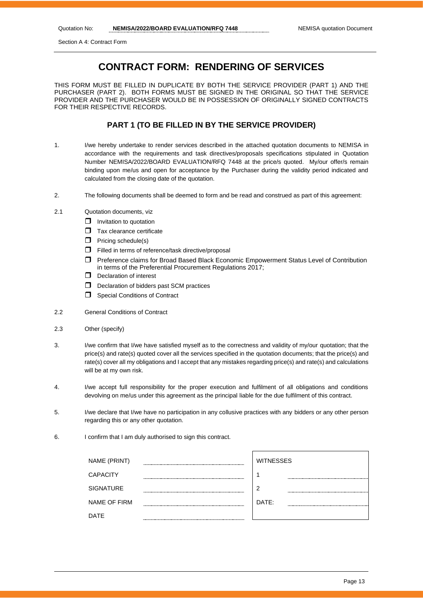Section A 4: Contract Form

# **CONTRACT FORM: RENDERING OF SERVICES**

THIS FORM MUST BE FILLED IN DUPLICATE BY BOTH THE SERVICE PROVIDER (PART 1) AND THE PURCHASER (PART 2). BOTH FORMS MUST BE SIGNED IN THE ORIGINAL SO THAT THE SERVICE PROVIDER AND THE PURCHASER WOULD BE IN POSSESSION OF ORIGINALLY SIGNED CONTRACTS FOR THEIR RESPECTIVE RECORDS.

#### **PART 1 (TO BE FILLED IN BY THE SERVICE PROVIDER)**

- 1. I/we hereby undertake to render services described in the attached quotation documents to NEMISA in accordance with the requirements and task directives/proposals specifications stipulated in Quotation Number NEMISA/2022/BOARD EVALUATION/RFQ 7448 at the price/s quoted. My/our offer/s remain binding upon me/us and open for acceptance by the Purchaser during the validity period indicated and calculated from the closing date of the quotation.
- 2. The following documents shall be deemed to form and be read and construed as part of this agreement:
- 2.1 Quotation documents, viz
	- $\Box$  Invitation to quotation
	- $\Box$  Tax clearance certificate
	- $\Box$  Pricing schedule(s)
	- Filled in terms of reference/task directive/proposal
	- Preference claims for Broad Based Black Economic Empowerment Status Level of Contribution in terms of the Preferential Procurement Regulations 2017;
	- D Declaration of interest
	- $\Box$  Declaration of bidders past SCM practices
	- **Special Conditions of Contract**
- 2.2 General Conditions of Contract
- 2.3 Other (specify)
- 3. I/we confirm that I/we have satisfied myself as to the correctness and validity of my/our quotation; that the price(s) and rate(s) quoted cover all the services specified in the quotation documents; that the price(s) and rate(s) cover all my obligations and I accept that any mistakes regarding price(s) and rate(s) and calculations will be at my own risk.
- 4. I/we accept full responsibility for the proper execution and fulfilment of all obligations and conditions devolving on me/us under this agreement as the principal liable for the due fulfilment of this contract.
- 5. I/we declare that I/we have no participation in any collusive practices with any bidders or any other person regarding this or any other quotation.
- 6. I confirm that I am duly authorised to sign this contract.

| NAME (PRINT)        | <b>WITNESSES</b> |
|---------------------|------------------|
| <b>CAPACITY</b>     |                  |
| <b>SIGNATURE</b>    | ာ                |
| <b>NAME OF FIRM</b> | DATE:            |
| DATE                |                  |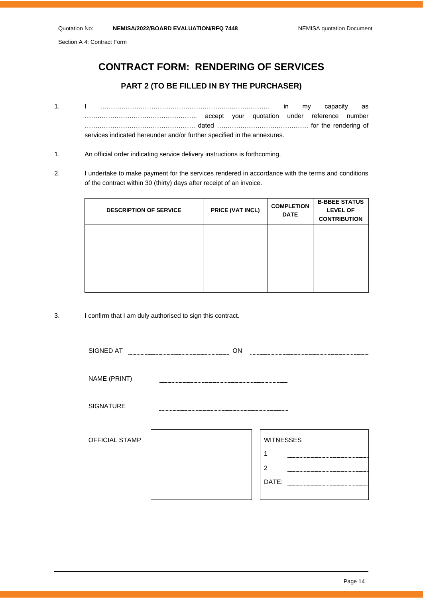Section A 4: Contract Form

# **CONTRACT FORM: RENDERING OF SERVICES**

#### **PART 2 (TO BE FILLED IN BY THE PURCHASER)**

- 1. I ……………………………………………………..……………… in my capacity as …………………………………………….. accept your quotation under reference number ……………………………………………. dated ……………………………………. for the rendering of services indicated hereunder and/or further specified in the annexures.
- 1. An official order indicating service delivery instructions is forthcoming.
- 2. I undertake to make payment for the services rendered in accordance with the terms and conditions of the contract within 30 (thirty) days after receipt of an invoice.

| <b>DESCRIPTION OF SERVICE</b> | PRICE (VAT INCL) | <b>COMPLETION</b><br><b>DATE</b> | <b>B-BBEE STATUS</b><br><b>LEVEL OF</b><br><b>CONTRIBUTION</b> |
|-------------------------------|------------------|----------------------------------|----------------------------------------------------------------|
|                               |                  |                                  |                                                                |
|                               |                  |                                  |                                                                |

3. I confirm that I am duly authorised to sign this contract.

| SIGNED AT             | ON |                  |
|-----------------------|----|------------------|
|                       |    |                  |
| NAME (PRINT)          |    |                  |
| SIGNATURE             |    |                  |
| <b>OFFICIAL STAMP</b> |    | <b>WITNESSES</b> |
|                       |    | $\overline{2}$   |
|                       |    | DATE:            |
|                       |    |                  |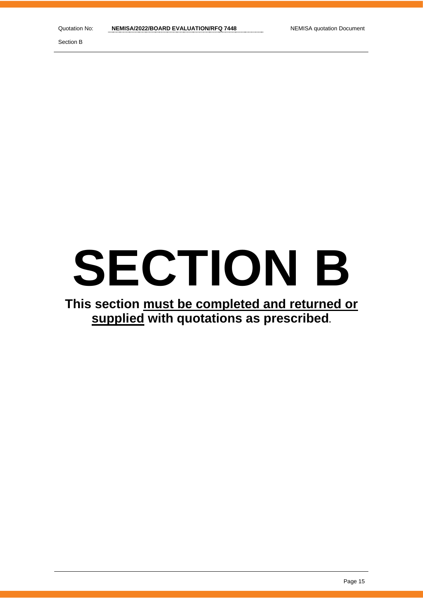# **SECTION B**

**This section must be completed and returned or supplied with quotations as prescribed.**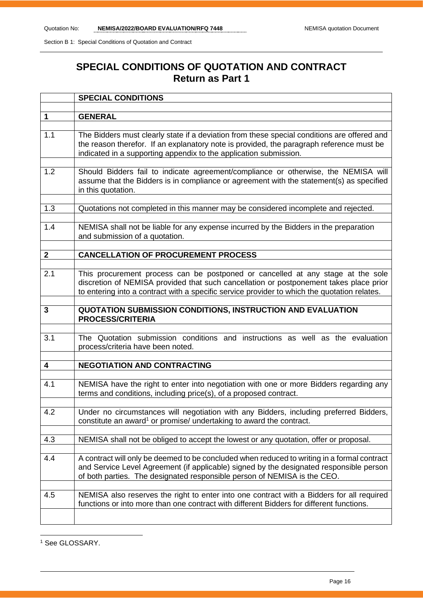# **SPECIAL CONDITIONS OF QUOTATION AND CONTRACT Return as Part 1**

|              | <b>SPECIAL CONDITIONS</b>                                                                                                                                                                                                                                                 |
|--------------|---------------------------------------------------------------------------------------------------------------------------------------------------------------------------------------------------------------------------------------------------------------------------|
|              |                                                                                                                                                                                                                                                                           |
| $\mathbf 1$  | <b>GENERAL</b>                                                                                                                                                                                                                                                            |
| 1.1          | The Bidders must clearly state if a deviation from these special conditions are offered and<br>the reason therefor. If an explanatory note is provided, the paragraph reference must be<br>indicated in a supporting appendix to the application submission.              |
| 1.2          | Should Bidders fail to indicate agreement/compliance or otherwise, the NEMISA will<br>assume that the Bidders is in compliance or agreement with the statement(s) as specified<br>in this quotation.                                                                      |
| 1.3          | Quotations not completed in this manner may be considered incomplete and rejected.                                                                                                                                                                                        |
| 1.4          | NEMISA shall not be liable for any expense incurred by the Bidders in the preparation<br>and submission of a quotation.                                                                                                                                                   |
| $\mathbf{2}$ | <b>CANCELLATION OF PROCUREMENT PROCESS</b>                                                                                                                                                                                                                                |
|              |                                                                                                                                                                                                                                                                           |
| 2.1          | This procurement process can be postponed or cancelled at any stage at the sole<br>discretion of NEMISA provided that such cancellation or postponement takes place prior<br>to entering into a contract with a specific service provider to which the quotation relates. |
| 3            | QUOTATION SUBMISSION CONDITIONS, INSTRUCTION AND EVALUATION<br><b>PROCESS/CRITERIA</b>                                                                                                                                                                                    |
| 3.1          | The Quotation submission conditions and instructions as well as the evaluation<br>process/criteria have been noted.                                                                                                                                                       |
| 4            | <b>NEGOTIATION AND CONTRACTING</b>                                                                                                                                                                                                                                        |
| 4.1          | NEMISA have the right to enter into negotiation with one or more Bidders regarding any<br>terms and conditions, including price(s), of a proposed contract.                                                                                                               |
| 4.2          | Under no circumstances will negotiation with any Bidders, including preferred Bidders,<br>constitute an award <sup>1</sup> or promise/ undertaking to award the contract.                                                                                                 |
| 4.3          | NEMISA shall not be obliged to accept the lowest or any quotation, offer or proposal.                                                                                                                                                                                     |
| 4.4          | A contract will only be deemed to be concluded when reduced to writing in a formal contract<br>and Service Level Agreement (if applicable) signed by the designated responsible person<br>of both parties. The designated responsible person of NEMISA is the CEO.        |
| 4.5          | NEMISA also reserves the right to enter into one contract with a Bidders for all required<br>functions or into more than one contract with different Bidders for different functions.                                                                                     |
|              |                                                                                                                                                                                                                                                                           |

<sup>1</sup> See GLOSSARY.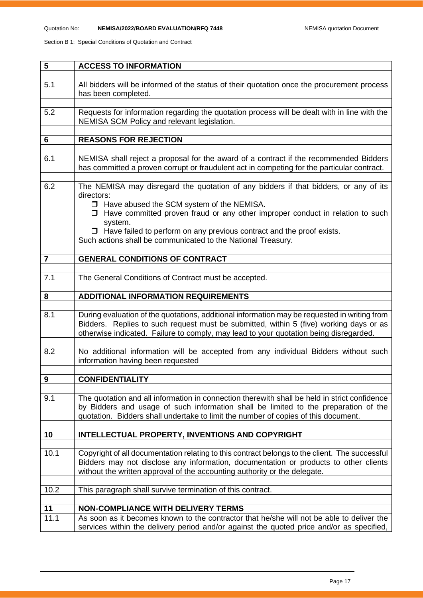| 5              | <b>ACCESS TO INFORMATION</b>                                                                                                                                                                                                                                                                                                                                                                         |
|----------------|------------------------------------------------------------------------------------------------------------------------------------------------------------------------------------------------------------------------------------------------------------------------------------------------------------------------------------------------------------------------------------------------------|
| 5.1            | All bidders will be informed of the status of their quotation once the procurement process<br>has been completed.                                                                                                                                                                                                                                                                                    |
| 5.2            | Requests for information regarding the quotation process will be dealt with in line with the<br>NEMISA SCM Policy and relevant legislation.                                                                                                                                                                                                                                                          |
| 6              | <b>REASONS FOR REJECTION</b>                                                                                                                                                                                                                                                                                                                                                                         |
| 6.1            | NEMISA shall reject a proposal for the award of a contract if the recommended Bidders<br>has committed a proven corrupt or fraudulent act in competing for the particular contract.                                                                                                                                                                                                                  |
| 6.2            | The NEMISA may disregard the quotation of any bidders if that bidders, or any of its<br>directors:<br>□ Have abused the SCM system of the NEMISA.<br>$\Box$ Have committed proven fraud or any other improper conduct in relation to such<br>system.<br>$\Box$ Have failed to perform on any previous contract and the proof exists.<br>Such actions shall be communicated to the National Treasury. |
| $\overline{7}$ | <b>GENERAL CONDITIONS OF CONTRACT</b>                                                                                                                                                                                                                                                                                                                                                                |
| 7.1            | The General Conditions of Contract must be accepted.                                                                                                                                                                                                                                                                                                                                                 |
| 8              | <b>ADDITIONAL INFORMATION REQUIREMENTS</b>                                                                                                                                                                                                                                                                                                                                                           |
| 8.1            | During evaluation of the quotations, additional information may be requested in writing from<br>Bidders. Replies to such request must be submitted, within 5 (five) working days or as<br>otherwise indicated. Failure to comply, may lead to your quotation being disregarded.                                                                                                                      |
| 8.2            | No additional information will be accepted from any individual Bidders without such<br>information having been requested                                                                                                                                                                                                                                                                             |
| 9              | <b>CONFIDENTIALITY</b>                                                                                                                                                                                                                                                                                                                                                                               |
| 9.1            | The quotation and all information in connection therewith shall be held in strict confidence<br>by Bidders and usage of such information shall be limited to the preparation of the<br>quotation. Bidders shall undertake to limit the number of copies of this document.                                                                                                                            |
| 10             | INTELLECTUAL PROPERTY, INVENTIONS AND COPYRIGHT                                                                                                                                                                                                                                                                                                                                                      |
| 10.1           | Copyright of all documentation relating to this contract belongs to the client. The successful<br>Bidders may not disclose any information, documentation or products to other clients<br>without the written approval of the accounting authority or the delegate.                                                                                                                                  |
| 10.2           | This paragraph shall survive termination of this contract.                                                                                                                                                                                                                                                                                                                                           |
| 11             | <b>NON-COMPLIANCE WITH DELIVERY TERMS</b>                                                                                                                                                                                                                                                                                                                                                            |
| 11.1           | As soon as it becomes known to the contractor that he/she will not be able to deliver the<br>services within the delivery period and/or against the quoted price and/or as specified,                                                                                                                                                                                                                |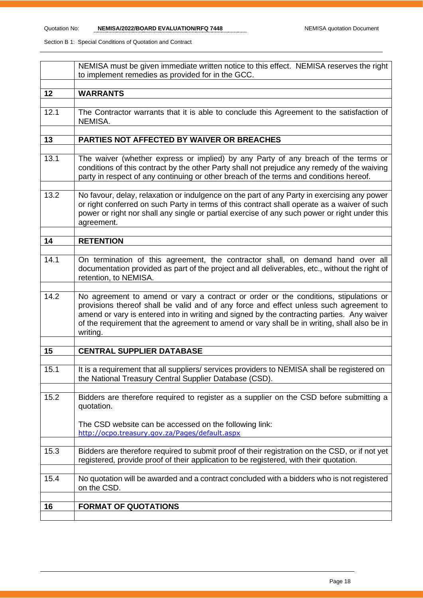|      | NEMISA must be given immediate written notice to this effect. NEMISA reserves the right<br>to implement remedies as provided for in the GCC.                                                                                                                                                                                                                                             |
|------|------------------------------------------------------------------------------------------------------------------------------------------------------------------------------------------------------------------------------------------------------------------------------------------------------------------------------------------------------------------------------------------|
| 12   | <b>WARRANTS</b>                                                                                                                                                                                                                                                                                                                                                                          |
| 12.1 | The Contractor warrants that it is able to conclude this Agreement to the satisfaction of<br>NEMISA.                                                                                                                                                                                                                                                                                     |
| 13   | PARTIES NOT AFFECTED BY WAIVER OR BREACHES                                                                                                                                                                                                                                                                                                                                               |
| 13.1 | The waiver (whether express or implied) by any Party of any breach of the terms or<br>conditions of this contract by the other Party shall not prejudice any remedy of the waiving<br>party in respect of any continuing or other breach of the terms and conditions hereof.                                                                                                             |
| 13.2 | No favour, delay, relaxation or indulgence on the part of any Party in exercising any power<br>or right conferred on such Party in terms of this contract shall operate as a waiver of such<br>power or right nor shall any single or partial exercise of any such power or right under this<br>agreement.                                                                               |
| 14   | <b>RETENTION</b>                                                                                                                                                                                                                                                                                                                                                                         |
| 14.1 | On termination of this agreement, the contractor shall, on demand hand over all<br>documentation provided as part of the project and all deliverables, etc., without the right of<br>retention, to NEMISA.                                                                                                                                                                               |
| 14.2 | No agreement to amend or vary a contract or order or the conditions, stipulations or<br>provisions thereof shall be valid and of any force and effect unless such agreement to<br>amend or vary is entered into in writing and signed by the contracting parties. Any waiver<br>of the requirement that the agreement to amend or vary shall be in writing, shall also be in<br>writing. |
| 15   | <b>CENTRAL SUPPLIER DATABASE</b>                                                                                                                                                                                                                                                                                                                                                         |
| 15.1 | It is a requirement that all suppliers/ services providers to NEMISA shall be registered on<br>the National Treasury Central Supplier Database (CSD).                                                                                                                                                                                                                                    |
| 15.2 | Bidders are therefore required to register as a supplier on the CSD before submitting a<br>quotation.                                                                                                                                                                                                                                                                                    |
|      | The CSD website can be accessed on the following link:<br>http://ocpo.treasury.gov.za/Pages/default.aspx                                                                                                                                                                                                                                                                                 |
| 15.3 | Bidders are therefore required to submit proof of their registration on the CSD, or if not yet<br>registered, provide proof of their application to be registered, with their quotation.                                                                                                                                                                                                 |
| 15.4 | No quotation will be awarded and a contract concluded with a bidders who is not registered<br>on the CSD.                                                                                                                                                                                                                                                                                |
| 16   | <b>FORMAT OF QUOTATIONS</b>                                                                                                                                                                                                                                                                                                                                                              |
|      |                                                                                                                                                                                                                                                                                                                                                                                          |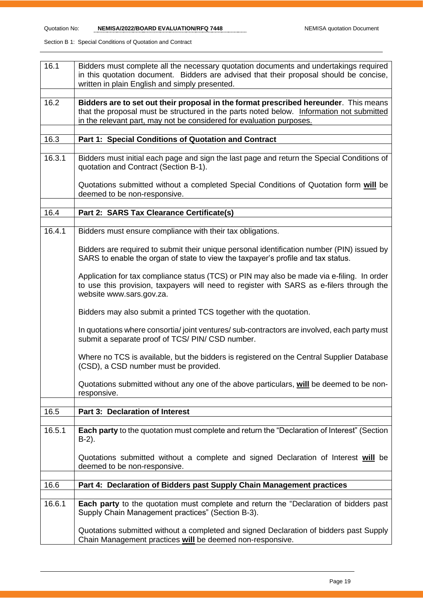| 16.1   | Bidders must complete all the necessary quotation documents and undertakings required<br>in this quotation document. Bidders are advised that their proposal should be concise,<br>written in plain English and simply presented.                        |
|--------|----------------------------------------------------------------------------------------------------------------------------------------------------------------------------------------------------------------------------------------------------------|
| 16.2   | Bidders are to set out their proposal in the format prescribed hereunder. This means<br>that the proposal must be structured in the parts noted below. Information not submitted<br>in the relevant part, may not be considered for evaluation purposes. |
| 16.3   | Part 1: Special Conditions of Quotation and Contract                                                                                                                                                                                                     |
| 16.3.1 | Bidders must initial each page and sign the last page and return the Special Conditions of<br>quotation and Contract (Section B-1).                                                                                                                      |
|        | Quotations submitted without a completed Special Conditions of Quotation form will be<br>deemed to be non-responsive.                                                                                                                                    |
| 16.4   | Part 2: SARS Tax Clearance Certificate(s)                                                                                                                                                                                                                |
|        |                                                                                                                                                                                                                                                          |
| 16.4.1 | Bidders must ensure compliance with their tax obligations.                                                                                                                                                                                               |
|        | Bidders are required to submit their unique personal identification number (PIN) issued by<br>SARS to enable the organ of state to view the taxpayer's profile and tax status.                                                                           |
|        | Application for tax compliance status (TCS) or PIN may also be made via e-filing. In order<br>to use this provision, taxpayers will need to register with SARS as e-filers through the<br>website www.sars.gov.za.                                       |
|        | Bidders may also submit a printed TCS together with the quotation.                                                                                                                                                                                       |
|        | In quotations where consortia/joint ventures/sub-contractors are involved, each party must<br>submit a separate proof of TCS/ PIN/ CSD number.                                                                                                           |
|        | Where no TCS is available, but the bidders is registered on the Central Supplier Database<br>(CSD), a CSD number must be provided.                                                                                                                       |
|        | Quotations submitted without any one of the above particulars, will be deemed to be non-<br>responsive.                                                                                                                                                  |
| 16.5   | Part 3: Declaration of Interest                                                                                                                                                                                                                          |
|        |                                                                                                                                                                                                                                                          |
| 16.5.1 | Each party to the quotation must complete and return the "Declaration of Interest" (Section<br>$B-2$ ).                                                                                                                                                  |
|        | Quotations submitted without a complete and signed Declaration of Interest will be<br>deemed to be non-responsive.                                                                                                                                       |
| 16.6   | Part 4: Declaration of Bidders past Supply Chain Management practices                                                                                                                                                                                    |
|        |                                                                                                                                                                                                                                                          |
| 16.6.1 | Each party to the quotation must complete and return the "Declaration of bidders past<br>Supply Chain Management practices" (Section B-3).                                                                                                               |
|        | Quotations submitted without a completed and signed Declaration of bidders past Supply<br>Chain Management practices will be deemed non-responsive.                                                                                                      |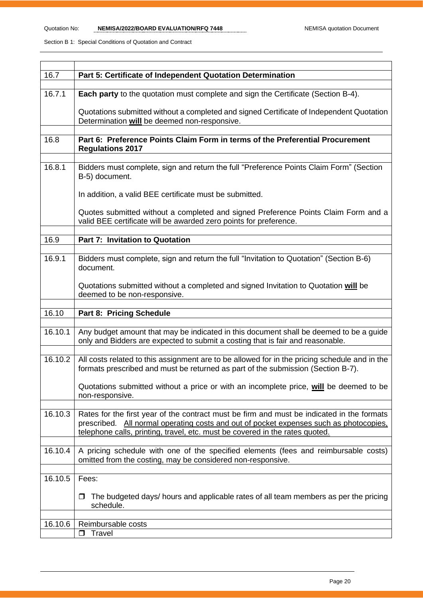| 16.7    | Part 5: Certificate of Independent Quotation Determination                                                                                              |  |  |  |
|---------|---------------------------------------------------------------------------------------------------------------------------------------------------------|--|--|--|
|         |                                                                                                                                                         |  |  |  |
| 16.7.1  | <b>Each party</b> to the quotation must complete and sign the Certificate (Section B-4).                                                                |  |  |  |
|         | Quotations submitted without a completed and signed Certificate of Independent Quotation                                                                |  |  |  |
|         | Determination will be deemed non-responsive.                                                                                                            |  |  |  |
|         |                                                                                                                                                         |  |  |  |
| 16.8    | Part 6: Preference Points Claim Form in terms of the Preferential Procurement                                                                           |  |  |  |
|         | <b>Regulations 2017</b>                                                                                                                                 |  |  |  |
| 16.8.1  | Bidders must complete, sign and return the full "Preference Points Claim Form" (Section                                                                 |  |  |  |
|         | B-5) document.                                                                                                                                          |  |  |  |
|         |                                                                                                                                                         |  |  |  |
|         | In addition, a valid BEE certificate must be submitted.                                                                                                 |  |  |  |
|         |                                                                                                                                                         |  |  |  |
|         | Quotes submitted without a completed and signed Preference Points Claim Form and a<br>valid BEE certificate will be awarded zero points for preference. |  |  |  |
|         |                                                                                                                                                         |  |  |  |
| 16.9    | Part 7: Invitation to Quotation                                                                                                                         |  |  |  |
|         |                                                                                                                                                         |  |  |  |
| 16.9.1  | Bidders must complete, sign and return the full "Invitation to Quotation" (Section B-6)                                                                 |  |  |  |
|         | document.                                                                                                                                               |  |  |  |
|         | Quotations submitted without a completed and signed Invitation to Quotation will be                                                                     |  |  |  |
|         | deemed to be non-responsive.                                                                                                                            |  |  |  |
|         |                                                                                                                                                         |  |  |  |
| 16.10   | Part 8: Pricing Schedule                                                                                                                                |  |  |  |
| 16.10.1 | Any budget amount that may be indicated in this document shall be deemed to be a guide                                                                  |  |  |  |
|         | only and Bidders are expected to submit a costing that is fair and reasonable.                                                                          |  |  |  |
|         |                                                                                                                                                         |  |  |  |
| 16.10.2 | All costs related to this assignment are to be allowed for in the pricing schedule and in the                                                           |  |  |  |
|         | formats prescribed and must be returned as part of the submission (Section B-7).                                                                        |  |  |  |
|         | Quotations submitted without a price or with an incomplete price, will be deemed to be                                                                  |  |  |  |
|         | non-responsive.                                                                                                                                         |  |  |  |
|         |                                                                                                                                                         |  |  |  |
| 16.10.3 |                                                                                                                                                         |  |  |  |
|         | Rates for the first year of the contract must be firm and must be indicated in the formats                                                              |  |  |  |
|         | prescribed. All normal operating costs and out of pocket expenses such as photocopies,                                                                  |  |  |  |
|         | telephone calls, printing, travel, etc. must be covered in the rates quoted.                                                                            |  |  |  |
|         |                                                                                                                                                         |  |  |  |
| 16.10.4 | A pricing schedule with one of the specified elements (fees and reimbursable costs)<br>omitted from the costing, may be considered non-responsive.      |  |  |  |
|         |                                                                                                                                                         |  |  |  |
| 16.10.5 | Fees:                                                                                                                                                   |  |  |  |
|         |                                                                                                                                                         |  |  |  |
|         | The budgeted days/ hours and applicable rates of all team members as per the pricing<br>□                                                               |  |  |  |
|         | schedule.                                                                                                                                               |  |  |  |
| 16.10.6 | Reimbursable costs                                                                                                                                      |  |  |  |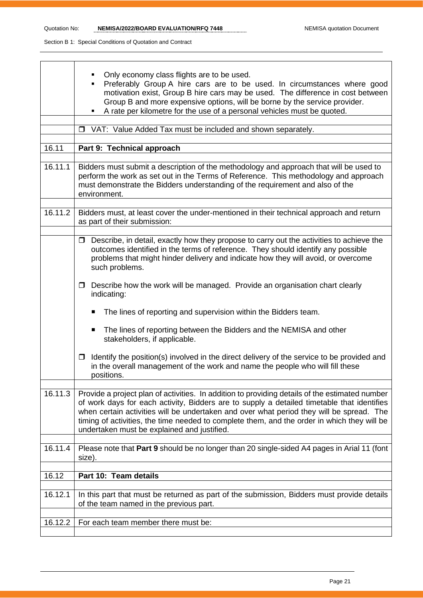|         | Only economy class flights are to be used.<br>Preferably Group A hire cars are to be used. In circumstances where good<br>motivation exist, Group B hire cars may be used. The difference in cost between<br>Group B and more expensive options, will be borne by the service provider.<br>A rate per kilometre for the use of a personal vehicles must be quoted.                                                                     |  |  |  |  |
|---------|----------------------------------------------------------------------------------------------------------------------------------------------------------------------------------------------------------------------------------------------------------------------------------------------------------------------------------------------------------------------------------------------------------------------------------------|--|--|--|--|
|         | VAT: Value Added Tax must be included and shown separately.<br>$\Box$                                                                                                                                                                                                                                                                                                                                                                  |  |  |  |  |
| 16.11   | Part 9: Technical approach                                                                                                                                                                                                                                                                                                                                                                                                             |  |  |  |  |
|         |                                                                                                                                                                                                                                                                                                                                                                                                                                        |  |  |  |  |
| 16.11.1 | Bidders must submit a description of the methodology and approach that will be used to<br>perform the work as set out in the Terms of Reference. This methodology and approach<br>must demonstrate the Bidders understanding of the requirement and also of the<br>environment.                                                                                                                                                        |  |  |  |  |
| 16.11.2 | Bidders must, at least cover the under-mentioned in their technical approach and return<br>as part of their submission:                                                                                                                                                                                                                                                                                                                |  |  |  |  |
|         | $\Box$ Describe, in detail, exactly how they propose to carry out the activities to achieve the<br>outcomes identified in the terms of reference. They should identify any possible<br>problems that might hinder delivery and indicate how they will avoid, or overcome<br>such problems.                                                                                                                                             |  |  |  |  |
|         | Describe how the work will be managed. Provide an organisation chart clearly<br>$\Box$<br>indicating:                                                                                                                                                                                                                                                                                                                                  |  |  |  |  |
|         | The lines of reporting and supervision within the Bidders team.<br>п                                                                                                                                                                                                                                                                                                                                                                   |  |  |  |  |
|         | The lines of reporting between the Bidders and the NEMISA and other<br>п<br>stakeholders, if applicable.                                                                                                                                                                                                                                                                                                                               |  |  |  |  |
|         | Identify the position(s) involved in the direct delivery of the service to be provided and<br>□<br>in the overall management of the work and name the people who will fill these<br>positions.                                                                                                                                                                                                                                         |  |  |  |  |
| 16.11.3 | Provide a project plan of activities. In addition to providing details of the estimated number<br>of work days for each activity, Bidders are to supply a detailed timetable that identifies<br>when certain activities will be undertaken and over what period they will be spread. The<br>timing of activities, the time needed to complete them, and the order in which they will be<br>undertaken must be explained and justified. |  |  |  |  |
| 16.11.4 | Please note that Part 9 should be no longer than 20 single-sided A4 pages in Arial 11 (font<br>size).                                                                                                                                                                                                                                                                                                                                  |  |  |  |  |
| 16.12   | Part 10: Team details                                                                                                                                                                                                                                                                                                                                                                                                                  |  |  |  |  |
|         |                                                                                                                                                                                                                                                                                                                                                                                                                                        |  |  |  |  |
| 16.12.1 | In this part that must be returned as part of the submission, Bidders must provide details<br>of the team named in the previous part.                                                                                                                                                                                                                                                                                                  |  |  |  |  |
| 16.12.2 | For each team member there must be:                                                                                                                                                                                                                                                                                                                                                                                                    |  |  |  |  |
|         |                                                                                                                                                                                                                                                                                                                                                                                                                                        |  |  |  |  |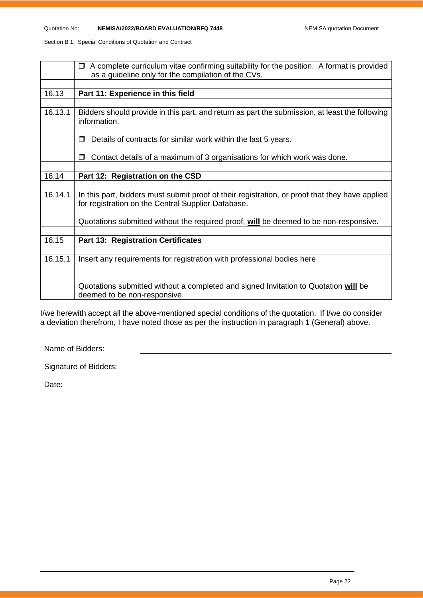|         | A complete curriculum vitae confirming suitability for the position. A format is provided<br>$\Box$                                                  |  |  |  |  |
|---------|------------------------------------------------------------------------------------------------------------------------------------------------------|--|--|--|--|
|         |                                                                                                                                                      |  |  |  |  |
|         | as a guideline only for the compilation of the CVs.                                                                                                  |  |  |  |  |
|         |                                                                                                                                                      |  |  |  |  |
| 16.13   | Part 11: Experience in this field                                                                                                                    |  |  |  |  |
|         |                                                                                                                                                      |  |  |  |  |
| 16.13.1 | Bidders should provide in this part, and return as part the submission, at least the following<br>information.                                       |  |  |  |  |
|         | Details of contracts for similar work within the last 5 years.                                                                                       |  |  |  |  |
|         | Contact details of a maximum of 3 organisations for which work was done.<br>$\Box$                                                                   |  |  |  |  |
|         |                                                                                                                                                      |  |  |  |  |
| 16.14   | Part 12: Registration on the CSD                                                                                                                     |  |  |  |  |
|         |                                                                                                                                                      |  |  |  |  |
| 16.14.1 | In this part, bidders must submit proof of their registration, or proof that they have applied<br>for registration on the Central Supplier Database. |  |  |  |  |
|         | Quotations submitted without the required proof, will be deemed to be non-responsive.                                                                |  |  |  |  |
|         |                                                                                                                                                      |  |  |  |  |
| 16.15   | <b>Part 13: Registration Certificates</b>                                                                                                            |  |  |  |  |
|         |                                                                                                                                                      |  |  |  |  |
| 16.15.1 | Insert any requirements for registration with professional bodies here                                                                               |  |  |  |  |
|         | Quotations submitted without a completed and signed Invitation to Quotation will be<br>deemed to be non-responsive.                                  |  |  |  |  |

I/we herewith accept all the above-mentioned special conditions of the quotation. If I/we do consider a deviation therefrom, I have noted those as per the instruction in paragraph 1 (General) above.

Name of Bidders:

Date: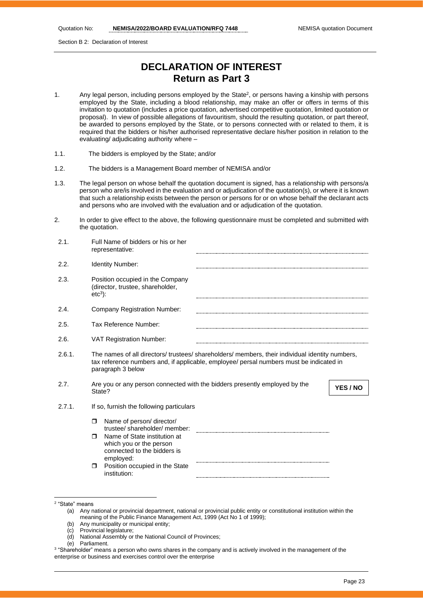Section B 2: Declaration of Interest

# **DECLARATION OF INTEREST Return as Part 3**

- 1. Any legal person, including persons employed by the State<sup>2</sup>, or persons having a kinship with persons employed by the State, including a blood relationship, may make an offer or offers in terms of this invitation to quotation (includes a price quotation, advertised competitive quotation, limited quotation or proposal). In view of possible allegations of favouritism, should the resulting quotation, or part thereof, be awarded to persons employed by the State, or to persons connected with or related to them, it is required that the bidders or his/her authorised representative declare his/her position in relation to the evaluating/ adjudicating authority where –
- 1.1. The bidders is employed by the State; and/or
- 1.2. The bidders is a Management Board member of NEMISA and/or
- 1.3. The legal person on whose behalf the quotation document is signed, has a relationship with persons/a person who are/is involved in the evaluation and or adjudication of the quotation(s), or where it is known that such a relationship exists between the person or persons for or on whose behalf the declarant acts and persons who are involved with the evaluation and or adjudication of the quotation.
- 2. In order to give effect to the above, the following questionnaire must be completed and submitted with the quotation.

| 2.1.   | Full Name of bidders or his or her<br>representative:                                                                                                                                                           |
|--------|-----------------------------------------------------------------------------------------------------------------------------------------------------------------------------------------------------------------|
| 2.2.   | Identity Number:                                                                                                                                                                                                |
| 2.3.   | Position occupied in the Company<br>(director, trustee, shareholder,<br>$etc3$ :                                                                                                                                |
| 2.4.   | Company Registration Number:                                                                                                                                                                                    |
| 2.5.   | Tax Reference Number:                                                                                                                                                                                           |
| 2.6.   | <b>VAT Registration Number:</b>                                                                                                                                                                                 |
| 2.6.1. | The names of all directors/ trustees/ shareholders/ members, their individual identity numbers,<br>tax reference numbers and, if applicable, employee/ persal numbers must be indicated in<br>paragraph 3 below |
| 2.7.   | Are you or any person connected with the bidders presently employed by the<br>YES / NO<br>State?                                                                                                                |
| 2.7.1. | If so, furnish the following particulars                                                                                                                                                                        |
|        | Name of person/ director/<br>$\Box$<br>trustee/ shareholder/ member:                                                                                                                                            |
|        | Name of State institution at<br>$\Box$<br>which you or the person<br>connected to the bidders is<br>employed:                                                                                                   |
|        | Position occupied in the State<br>$\Box$<br>institution:                                                                                                                                                        |

- (b) Any municipality or municipal entity;
- (c) Provincial legislature;
- (d) National Assembly or the National Council of Provinces;
- (e) Parliament.

<sup>2</sup> "State" means

<sup>(</sup>a) Any national or provincial department, national or provincial public entity or constitutional institution within the meaning of the Public Finance Management Act, 1999 (Act No 1 of 1999);

<sup>3</sup> "Shareholder" means a person who owns shares in the company and is actively involved in the management of the enterprise or business and exercises control over the enterprise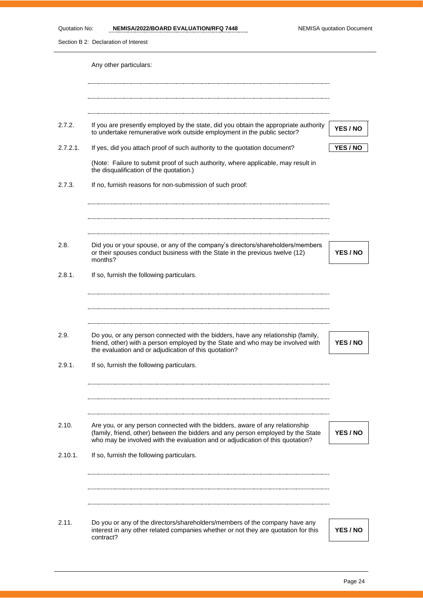Section B 2: Declaration of Interest Any other particulars: 2.7.2. If you are presently employed by the state, did you obtain the appropriate authority If you are presently employed by the state, ald you obtain the appropriate authority **YES / NO**<br>to undertake remunerative work outside employment in the public sector? 2.7.2.1. If yes, did you attach proof of such authority to the quotation document? **YES / NO** (Note: Failure to submit proof of such authority, where applicable, may result in the disqualification of the quotation.) 2.7.3. If no, furnish reasons for non-submission of such proof: 2.8. Did you or your spouse, or any of the company's directors/shareholders/members or their spouses conduct business with the State in the previous twelve (12) **YES / NO** months? 2.8.1. If so, furnish the following particulars. 2.9. Do you, or any person connected with the bidders, have any relationship (family, friend, other) with a person employed by the State and who may be involved with **YES / NO** the evaluation and or adjudication of this quotation? 2.9.1. If so, furnish the following particulars. 2.10. Are you, or any person connected with the bidders, aware of any relationship (family, friend, other) between the bidders and any person employed by the State **YES / NO** who may be involved with the evaluation and or adjudication of this quotation? 2.10.1. If so, furnish the following particulars. 2.11. Do you or any of the directors/shareholders/members of the company have any interest in any other related companies whether or not they are quotation for this **YES / NO**contract?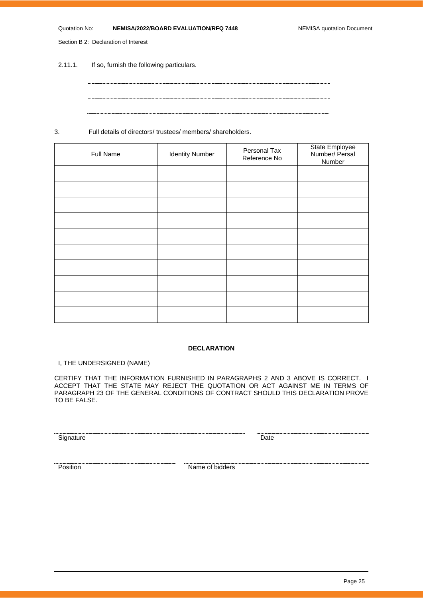#### Quotation No: **NEMISA/2022/BOARD EVALUATION/RFQ 7448** NEMISA quotation Document

Section B 2: Declaration of Interest

2.11.1. If so, furnish the following particulars.

3. Full details of directors/ trustees/ members/ shareholders.

| Full Name | <b>Identity Number</b> | Personal Tax<br>Reference No | State Employee<br>Number/ Persal<br>Number |
|-----------|------------------------|------------------------------|--------------------------------------------|
|           |                        |                              |                                            |
|           |                        |                              |                                            |
|           |                        |                              |                                            |
|           |                        |                              |                                            |
|           |                        |                              |                                            |
|           |                        |                              |                                            |
|           |                        |                              |                                            |
|           |                        |                              |                                            |
|           |                        |                              |                                            |
|           |                        |                              |                                            |

#### **DECLARATION**

I, THE UNDERSIGNED (NAME)

CERTIFY THAT THE INFORMATION FURNISHED IN PARAGRAPHS 2 AND 3 ABOVE IS CORRECT. I ACCEPT THAT THE STATE MAY REJECT THE QUOTATION OR ACT AGAINST ME IN TERMS OF PARAGRAPH 23 OF THE GENERAL CONDITIONS OF CONTRACT SHOULD THIS DECLARATION PROVE TO BE FALSE.

Signature Date Date

<u>Position</u> Name of bidders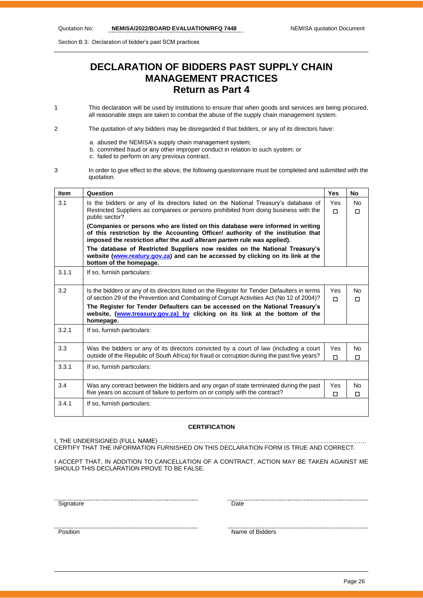Section B 3: Declaration of bidder's past SCM practices

# **DECLARATION OF BIDDERS PAST SUPPLY CHAIN MANAGEMENT PRACTICES Return as Part 4**

- 1 This declaration will be used by institutions to ensure that when goods and services are being procured, all reasonable steps are taken to combat the abuse of the supply chain management system.
- 2 The quotation of any bidders may be disregarded if that bidders, or any of its directors have:
	- a. abused the NEMISA's supply chain management system;
	- b. committed fraud or any other improper conduct in relation to such system; or
		- c. failed to perform on any previous contract.
- 3 In order to give effect to the above, the following questionnaire must be completed and submitted with the quotation.

| <b>Item</b> | Question                                                                                                                                                                                                                                       | <b>Yes</b>      | <b>No</b>           |  |  |
|-------------|------------------------------------------------------------------------------------------------------------------------------------------------------------------------------------------------------------------------------------------------|-----------------|---------------------|--|--|
| 3.1         | Is the bidders or any of its directors listed on the National Treasury's database of<br>Restricted Suppliers as companies or persons prohibited from doing business with the<br>public sector?                                                 | Yes<br>$\Box$   | No.<br>$\Box$       |  |  |
|             | (Companies or persons who are listed on this database were informed in writing<br>of this restriction by the Accounting Officer/ authority of the institution that<br>imposed the restriction after the audi alteram partem rule was applied). |                 |                     |  |  |
|             | The database of Restricted Suppliers now resides on the National Treasury's<br>website (www.reatury.gov.za) and can be accessed by clicking on its link at the<br>bottom of the homepage.                                                      |                 |                     |  |  |
| 3.1.1       | If so, furnish particulars:                                                                                                                                                                                                                    |                 |                     |  |  |
| 3.2         | Is the bidders or any of its directors listed on the Register for Tender Defaulters in terms<br>of section 29 of the Prevention and Combating of Corrupt Activities Act (No 12 of 2004)?                                                       | <b>Yes</b><br>п | <b>No</b><br>$\Box$ |  |  |
|             | The Register for Tender Defaulters can be accessed on the National Treasury's<br>website, (www.treasury.gov.za) by clicking on its link at the bottom of the<br>homepage.                                                                      |                 |                     |  |  |
| 3.2.1       | If so, furnish particulars:                                                                                                                                                                                                                    |                 |                     |  |  |
| 3.3         | Was the bidders or any of its directors convicted by a court of law (including a court<br>outside of the Republic of South Africa) for fraud or corruption during the past five years?                                                         | Yes<br>п        | <b>No</b><br>П      |  |  |
| 3.3.1       | If so, furnish particulars:                                                                                                                                                                                                                    |                 |                     |  |  |
| 3.4         | Was any contract between the bidders and any organ of state terminated during the past<br>five years on account of failure to perform on or comply with the contract?                                                                          | Yes<br>П        | No<br>$\Box$        |  |  |
| 3.4.1       | If so, furnish particulars:                                                                                                                                                                                                                    |                 |                     |  |  |

#### **CERTIFICATION**

I. THE UNDERSIGNED (FULL NAME) ……………… CERTIFY THAT THE INFORMATION FURNISHED ON THIS DECLARATION FORM IS TRUE AND CORRECT.

I ACCEPT THAT, IN ADDITION TO CANCELLATION OF A CONTRACT, ACTION MAY BE TAKEN AGAINST ME SHOULD THIS DECLARATION PROVE TO BE FALSE.

Signature Date

name of Bidders Position Name of Bidders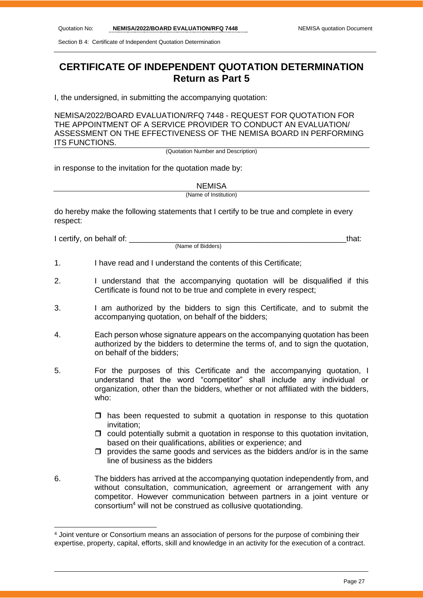Section B 4: Certificate of Independent Quotation Determination

# **CERTIFICATE OF INDEPENDENT QUOTATION DETERMINATION Return as Part 5**

I, the undersigned, in submitting the accompanying quotation:

NEMISA/2022/BOARD EVALUATION/RFQ 7448 - REQUEST FOR QUOTATION FOR THE APPOINTMENT OF A SERVICE PROVIDER TO CONDUCT AN EVALUATION/ ASSESSMENT ON THE EFFECTIVENESS OF THE NEMISA BOARD IN PERFORMING ITS FUNCTIONS.

(Quotation Number and Description)

in response to the invitation for the quotation made by:

**NEMISA** 

(Name of Institution)

do hereby make the following statements that I certify to be true and complete in every respect:

I certify, on behalf of: the state of the state of the state of the state of the state of the state of the state of the state of the state of the state of the state of the state of the state of the state of the state of th

(Name of Bidders)

- 1. I have read and I understand the contents of this Certificate;
- 2. I understand that the accompanying quotation will be disqualified if this Certificate is found not to be true and complete in every respect;
- 3. I am authorized by the bidders to sign this Certificate, and to submit the accompanying quotation, on behalf of the bidders;
- 4. Each person whose signature appears on the accompanying quotation has been authorized by the bidders to determine the terms of, and to sign the quotation, on behalf of the bidders;
- 5. For the purposes of this Certificate and the accompanying quotation, I understand that the word "competitor" shall include any individual or organization, other than the bidders, whether or not affiliated with the bidders, who:
	- $\Box$  has been requested to submit a quotation in response to this quotation invitation;
	- $\Box$  could potentially submit a quotation in response to this quotation invitation, based on their qualifications, abilities or experience; and
	- $\Box$  provides the same goods and services as the bidders and/or is in the same line of business as the bidders
- 6. The bidders has arrived at the accompanying quotation independently from, and without consultation, communication, agreement or arrangement with any competitor. However communication between partners in a joint venture or consortium<sup>4</sup> will not be construed as collusive quotationding.

<sup>4</sup> Joint venture or Consortium means an association of persons for the purpose of combining their expertise, property, capital, efforts, skill and knowledge in an activity for the execution of a contract.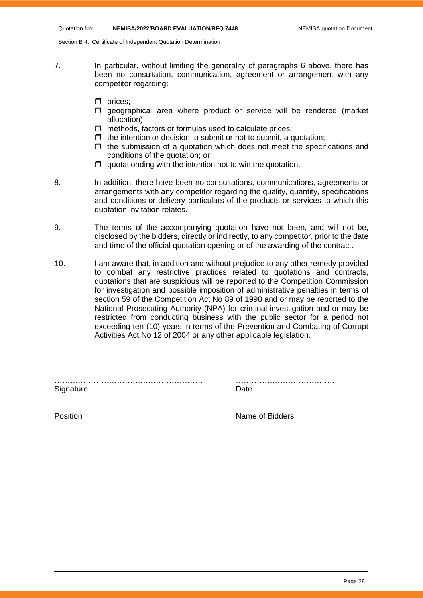Section B 4: Certificate of Independent Quotation Determination

- 7. In particular, without limiting the generality of paragraphs 6 above, there has been no consultation, communication, agreement or arrangement with any competitor regarding:
	- $\Box$  prices;
	- $\square$  geographical area where product or service will be rendered (market allocation)
	- $\Box$  methods, factors or formulas used to calculate prices;
	- $\Box$  the intention or decision to submit or not to submit, a quotation:
	- $\Box$  the submission of a quotation which does not meet the specifications and conditions of the quotation; or
	- $\Box$  quotationding with the intention not to win the quotation.
- 8. In addition, there have been no consultations, communications, agreements or arrangements with any competitor regarding the quality, quantity, specifications and conditions or delivery particulars of the products or services to which this quotation invitation relates.
- 9. The terms of the accompanying quotation have not been, and will not be, disclosed by the bidders, directly or indirectly, to any competitor, prior to the date and time of the official quotation opening or of the awarding of the contract.
- 10. I am aware that, in addition and without prejudice to any other remedy provided to combat any restrictive practices related to quotations and contracts, quotations that are suspicious will be reported to the Competition Commission for investigation and possible imposition of administrative penalties in terms of section 59 of the Competition Act No 89 of 1998 and or may be reported to the National Prosecuting Authority (NPA) for criminal investigation and or may be restricted from conducting business with the public sector for a period not exceeding ten (10) years in terms of the Prevention and Combating of Corrupt Activities Act No 12 of 2004 or any other applicable legislation.

| Signature | ⊥)ate           |
|-----------|-----------------|
|           |                 |
| Position  | Name of Bidders |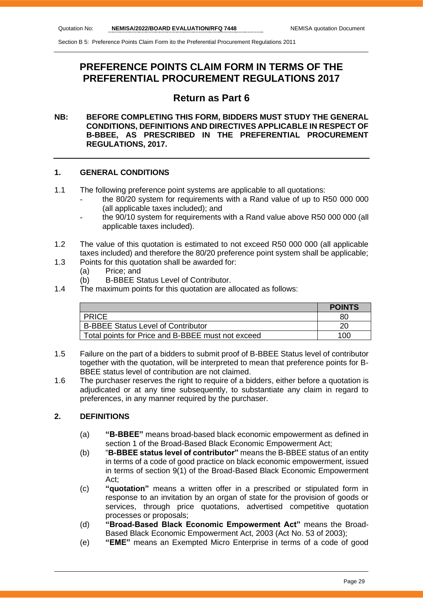# **PREFERENCE POINTS CLAIM FORM IN TERMS OF THE PREFERENTIAL PROCUREMENT REGULATIONS 2017**

## **Return as Part 6**

#### **NB: BEFORE COMPLETING THIS FORM, BIDDERS MUST STUDY THE GENERAL CONDITIONS, DEFINITIONS AND DIRECTIVES APPLICABLE IN RESPECT OF B-BBEE, AS PRESCRIBED IN THE PREFERENTIAL PROCUREMENT REGULATIONS, 2017.**

#### **1. GENERAL CONDITIONS**

- 1.1 The following preference point systems are applicable to all quotations:
	- the 80/20 system for requirements with a Rand value of up to R50 000 000 (all applicable taxes included); and
	- the 90/10 system for requirements with a Rand value above R50 000 000 (all applicable taxes included).
- 1.2 The value of this quotation is estimated to not exceed R50 000 000 (all applicable taxes included) and therefore the 80/20 preference point system shall be applicable;
- 1.3 Points for this quotation shall be awarded for:
	- (a) Price; and
	- (b) B-BBEE Status Level of Contributor.
- 1.4 The maximum points for this quotation are allocated as follows:

|                                                   | <b>POINTS</b> |
|---------------------------------------------------|---------------|
| <b>PRICE</b>                                      | 80            |
| <b>B-BBEE Status Level of Contributor</b>         |               |
| Total points for Price and B-BBEE must not exceed | 100           |

- 1.5 Failure on the part of a bidders to submit proof of B-BBEE Status level of contributor together with the quotation, will be interpreted to mean that preference points for B-BBEE status level of contribution are not claimed.
- 1.6 The purchaser reserves the right to require of a bidders, either before a quotation is adjudicated or at any time subsequently, to substantiate any claim in regard to preferences, in any manner required by the purchaser.

#### **2. DEFINITIONS**

- (a) **"B-BBEE"** means broad-based black economic empowerment as defined in section 1 of the Broad-Based Black Economic Empowerment Act;
- (b) "**B-BBEE status level of contributor"** means the B-BBEE status of an entity in terms of a code of good practice on black economic empowerment, issued in terms of section 9(1) of the Broad-Based Black Economic Empowerment Act;
- (c) **"quotation"** means a written offer in a prescribed or stipulated form in response to an invitation by an organ of state for the provision of goods or services, through price quotations, advertised competitive quotation processes or proposals;
- (d) **"Broad-Based Black Economic Empowerment Act"** means the Broad-Based Black Economic Empowerment Act, 2003 (Act No. 53 of 2003);
- (e) **"EME"** means an Exempted Micro Enterprise in terms of a code of good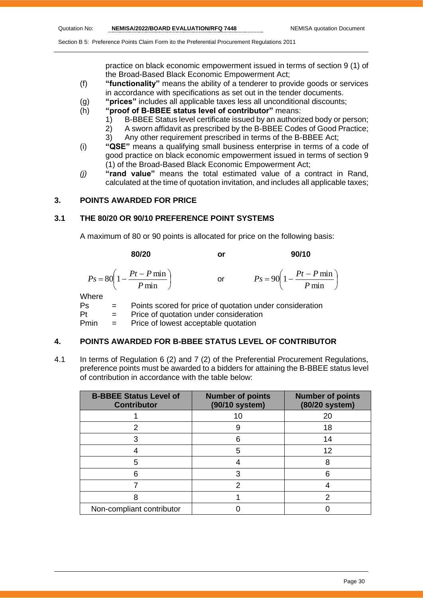practice on black economic empowerment issued in terms of section 9 (1) of the Broad-Based Black Economic Empowerment Act;

- (f) **"functionality"** means the ability of a tenderer to provide goods or services in accordance with specifications as set out in the tender documents.
- (g) **"prices"** includes all applicable taxes less all unconditional discounts;
- (h) **"proof of B-BBEE status level of contributor"** means:
	- 1) B-BBEE Status level certificate issued by an authorized body or person;
		- 2) A sworn affidavit as prescribed by the B-BBEE Codes of Good Practice;
	- 3) Any other requirement prescribed in terms of the B-BBEE Act;
- (i) **"QSE"** means a qualifying small business enterprise in terms of a code of good practice on black economic empowerment issued in terms of section 9 (1) of the Broad-Based Black Economic Empowerment Act;
- *(j)* **"rand value"** means the total estimated value of a contract in Rand, calculated at the time of quotation invitation, and includes all applicable taxes;

#### **3. POINTS AWARDED FOR PRICE**

#### **3.1 THE 80/20 OR 90/10 PREFERENCE POINT SYSTEMS**

A maximum of 80 or 90 points is allocated for price on the following basis:

|             | 80/20                                                     | or | 90/10                                                    |
|-------------|-----------------------------------------------------------|----|----------------------------------------------------------|
|             | $P_s = 80 \left( 1 - \frac{Pt - P \min P}{ \min} \right)$ | or | $Ps = 90\left(1 - \frac{Pt - P \min P}{ \min}\right)$    |
| Where<br>Ps |                                                           |    | Points scored for price of quotation under consideration |

Pt = Price of quotation under consideration Pmin = Price of lowest acceptable quotation

#### **4. POINTS AWARDED FOR B-BBEE STATUS LEVEL OF CONTRIBUTOR**

4.1 In terms of Regulation 6 (2) and 7 (2) of the Preferential Procurement Regulations, preference points must be awarded to a bidders for attaining the B-BBEE status level of contribution in accordance with the table below:

| <b>B-BBEE Status Level of</b><br><b>Contributor</b> | <b>Number of points</b><br>(90/10 system) | <b>Number of points</b><br>(80/20 system) |
|-----------------------------------------------------|-------------------------------------------|-------------------------------------------|
|                                                     | 10                                        | 20                                        |
|                                                     |                                           | 18                                        |
|                                                     | 6                                         | 14                                        |
|                                                     | 5                                         | 12                                        |
| 5                                                   |                                           | 8                                         |
|                                                     | 3                                         |                                           |
|                                                     | 2                                         |                                           |
|                                                     |                                           |                                           |
| Non-compliant contributor                           |                                           |                                           |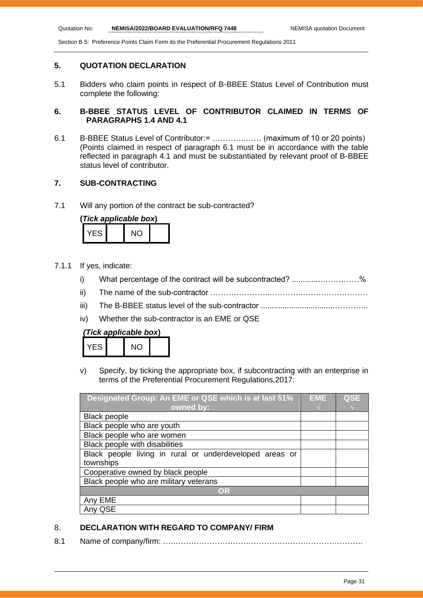#### **5. QUOTATION DECLARATION**

5.1 Bidders who claim points in respect of B-BBEE Status Level of Contribution must complete the following:

#### **6. B-BBEE STATUS LEVEL OF CONTRIBUTOR CLAIMED IN TERMS OF PARAGRAPHS 1.4 AND 4.1**

6.1 B-BBEE Status Level of Contributor:= ………….…… (maximum of 10 or 20 points) (Points claimed in respect of paragraph 6.1 must be in accordance with the table reflected in paragraph 4.1 and must be substantiated by relevant proof of B-BBEE status level of contributor.

#### **7. SUB-CONTRACTING**

7.1 Will any portion of the contract be sub-contracted?

| (Tick applicable box) |  |     |  |  |
|-----------------------|--|-----|--|--|
| YFS.                  |  | NO. |  |  |

- 7.1.1 If yes, indicate:
	- i) What percentage of the contract will be subcontracted? ..........................%
	- ii) The name of the sub-contractor …………………..………….…………………….
	- iii) The B-BBEE status level of the sub-contractor .................................…………..
	- iv) Whether the sub-contractor is an EME or QSE

| (Tick applicable box) |  |  |
|-----------------------|--|--|
|-----------------------|--|--|

| - ^<br>-5 |  | $\tilde{\phantom{a}}$ |
|-----------|--|-----------------------|
|-----------|--|-----------------------|

v) Specify, by ticking the appropriate box, if subcontracting with an enterprise in terms of the Preferential Procurement Regulations,2017:

| Designated Group: An EME or QSE which is at last 51%    |  | <b>QSE</b> |
|---------------------------------------------------------|--|------------|
| owned by:                                               |  |            |
| <b>Black people</b>                                     |  |            |
| Black people who are youth                              |  |            |
| Black people who are women                              |  |            |
| Black people with disabilities                          |  |            |
| Black people living in rural or underdeveloped areas or |  |            |
| townships                                               |  |            |
| Cooperative owned by black people                       |  |            |
| Black people who are military veterans                  |  |            |
| OR                                                      |  |            |
| Any EME                                                 |  |            |
| QSE                                                     |  |            |

#### 8. **DECLARATION WITH REGARD TO COMPANY/ FIRM**

8.1 Name of company/firm: ….……………………………………………………………….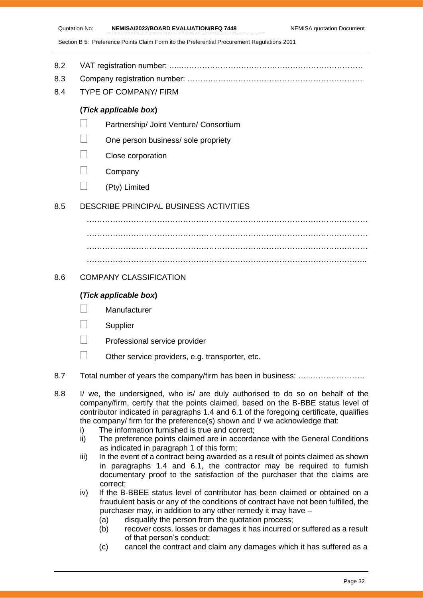- 8.2 VAT registration number: …..……………………………….……………………………
- 8.3 Company registration number: ……….……..…………….…………………………….
- 8.4 TYPE OF COMPANY/ FIRM

#### **(***Tick applicable box***)**

- Partnership/ Joint Venture/ Consortium
- One person business/ sole propriety
- Close corporation
- **Company**
- $\Box$  (Pty) Limited

#### 8.5 DESCRIBE PRINCIPAL BUSINESS ACTIVITIES

………………………………………………………………………………………………  $\mathcal{L}^{(n)}$ ……………………………………………………………………………………………… ………………………………………………………………………………………….…..

#### 8.6 COMPANY CLASSIFICATION

#### **(***Tick applicable box***)**

- **Manufacturer**
- **Supplier**
- Professional service provider
- $\Box$  Other service providers, e.g. transporter, etc.
- 8.7 Total number of years the company/firm has been in business: ………………………
- 8.8 I/ we, the undersigned, who is/ are duly authorised to do so on behalf of the company/firm, certify that the points claimed, based on the B-BBE status level of contributor indicated in paragraphs 1.4 and 6.1 of the foregoing certificate, qualifies the company/ firm for the preference(s) shown and I/ we acknowledge that:
	- i) The information furnished is true and correct;
	- ii) The preference points claimed are in accordance with the General Conditions as indicated in paragraph 1 of this form;
	- iii) In the event of a contract being awarded as a result of points claimed as shown in paragraphs 1.4 and 6.1, the contractor may be required to furnish documentary proof to the satisfaction of the purchaser that the claims are correct;
	- iv) If the B-BBEE status level of contributor has been claimed or obtained on a fraudulent basis or any of the conditions of contract have not been fulfilled, the purchaser may, in addition to any other remedy it may have –
		- (a) disqualify the person from the quotation process;
		- (b) recover costs, losses or damages it has incurred or suffered as a result of that person's conduct;
		- (c) cancel the contract and claim any damages which it has suffered as a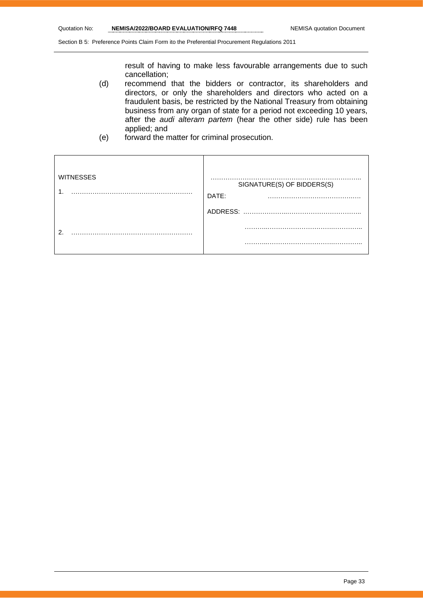result of having to make less favourable arrangements due to such cancellation;

- (d) recommend that the bidders or contractor, its shareholders and directors, or only the shareholders and directors who acted on a fraudulent basis, be restricted by the National Treasury from obtaining business from any organ of state for a period not exceeding 10 years, after the *audi alteram partem* (hear the other side) rule has been applied; and
- (e) forward the matter for criminal prosecution.

| <b>WITNESSES</b> | SIGNATURE(S) OF BIDDERS(S)<br>DATE:<br>$\cdots$ |
|------------------|-------------------------------------------------|
|                  | ADDRESS:                                        |
| റ                |                                                 |
|                  | .                                               |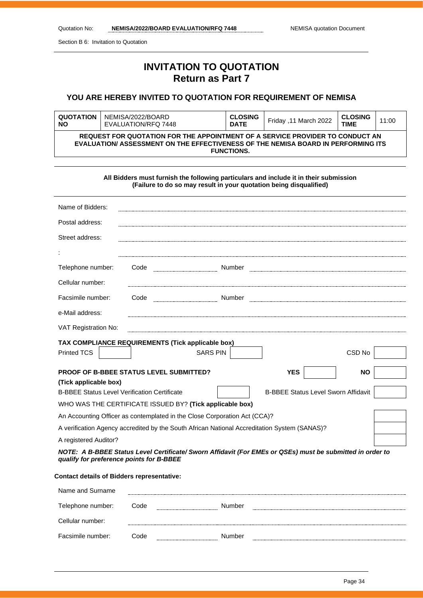Facsimile number: Code **Number** Number

Section B 6: Invitation to Quotation

# **INVITATION TO QUOTATION Return as Part 7**

#### **YOU ARE HEREBY INVITED TO QUOTATION FOR REQUIREMENT OF NEMISA**

| <b>QUOTATION</b><br><b>NO</b> | NEMISA/2022/BOARD<br>EVALUATION/RFQ 7448                                                                                                                                                | <b>CLOSING</b><br><b>DATE</b> | Friday ,11 March 2022 | <b>CLOSING</b><br><b>TIME</b> | 11:00 |
|-------------------------------|-----------------------------------------------------------------------------------------------------------------------------------------------------------------------------------------|-------------------------------|-----------------------|-------------------------------|-------|
|                               | REQUEST FOR QUOTATION FOR THE APPOINTMENT OF A SERVICE PROVIDER TO CONDUCT AN<br>EVALUATION/ ASSESSMENT ON THE EFFECTIVENESS OF THE NEMISA BOARD IN PERFORMING ITS<br><b>FUNCTIONS.</b> |                               |                       |                               |       |

**All Bidders must furnish the following particulars and include it in their submission (Failure to do so may result in your quotation being disqualified)**

| Name of Bidders:                                                                                                                                      |                                                     |                                                                           |                                            |                   |  |
|-------------------------------------------------------------------------------------------------------------------------------------------------------|-----------------------------------------------------|---------------------------------------------------------------------------|--------------------------------------------|-------------------|--|
| Postal address:                                                                                                                                       |                                                     |                                                                           |                                            |                   |  |
| Street address:                                                                                                                                       |                                                     |                                                                           |                                            |                   |  |
|                                                                                                                                                       |                                                     |                                                                           |                                            |                   |  |
| Telephone number:                                                                                                                                     | Code                                                |                                                                           |                                            |                   |  |
|                                                                                                                                                       |                                                     |                                                                           |                                            |                   |  |
| Cellular number:                                                                                                                                      |                                                     |                                                                           |                                            |                   |  |
| Facsimile number:                                                                                                                                     | Code                                                |                                                                           |                                            |                   |  |
| e-Mail address:                                                                                                                                       |                                                     |                                                                           |                                            |                   |  |
| VAT Registration No:                                                                                                                                  |                                                     |                                                                           |                                            |                   |  |
|                                                                                                                                                       | TAX COMPLIANCE REQUIREMENTS (Tick applicable box)   |                                                                           |                                            |                   |  |
| <b>Printed TCS</b>                                                                                                                                    |                                                     | <b>SARS PIN</b>                                                           |                                            | CSD <sub>No</sub> |  |
| PROOF OF B-BBEE STATUS LEVEL SUBMITTED?<br><b>YES</b><br><b>NO</b>                                                                                    |                                                     |                                                                           |                                            |                   |  |
| (Tick applicable box)                                                                                                                                 |                                                     |                                                                           |                                            |                   |  |
|                                                                                                                                                       | <b>B-BBEE Status Level Verification Certificate</b> |                                                                           | <b>B-BBEE Status Level Sworn Affidavit</b> |                   |  |
| WHO WAS THE CERTIFICATE ISSUED BY? (Tick applicable box)                                                                                              |                                                     |                                                                           |                                            |                   |  |
|                                                                                                                                                       |                                                     | An Accounting Officer as contemplated in the Close Corporation Act (CCA)? |                                            |                   |  |
| A verification Agency accredited by the South African National Accreditation System (SANAS)?                                                          |                                                     |                                                                           |                                            |                   |  |
|                                                                                                                                                       | A registered Auditor?                               |                                                                           |                                            |                   |  |
| NOTE: A B-BBEE Status Level Certificate/ Sworn Affidavit (For EMEs or QSEs) must be submitted in order to<br>qualify for preference points for B-BBEE |                                                     |                                                                           |                                            |                   |  |
| <b>Contact details of Bidders representative:</b>                                                                                                     |                                                     |                                                                           |                                            |                   |  |
| Name and Surname                                                                                                                                      |                                                     |                                                                           |                                            |                   |  |
| Telephone number:                                                                                                                                     | Code                                                | Number                                                                    |                                            |                   |  |
| Cellular number:                                                                                                                                      |                                                     |                                                                           |                                            |                   |  |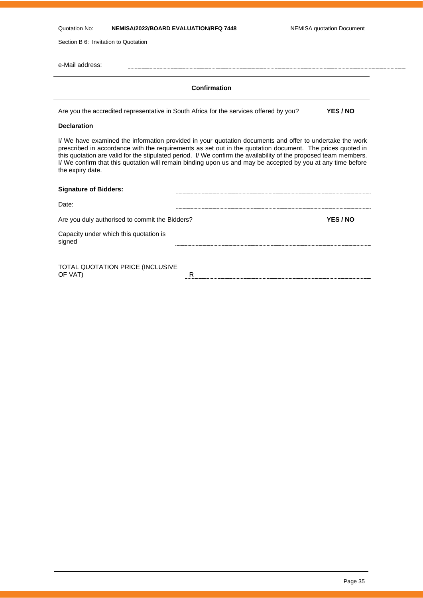Quotation No: **NEMISA/2022/BOARD EVALUATION/RFQ 7448** NEMISA quotation Document

Section B 6: Invitation to Quotation

e-Mail address:

#### **Confirmation**

Are you the accredited representative in South Africa for the services offered by you? **YES / NO**

#### **Declaration**

I/ We have examined the information provided in your quotation documents and offer to undertake the work prescribed in accordance with the requirements as set out in the quotation document. The prices quoted in this quotation are valid for the stipulated period. I/ We confirm the availability of the proposed team members. I/ We confirm that this quotation will remain binding upon us and may be accepted by you at any time before the expiry date.

| <b>Signature of Bidders:</b>                     |   |          |
|--------------------------------------------------|---|----------|
| Date:                                            |   |          |
| Are you duly authorised to commit the Bidders?   |   | YES / NO |
| Capacity under which this quotation is<br>signed |   |          |
|                                                  |   |          |
| TOTAL QUOTATION PRICE (INCLUSIVE<br>OF VAT)      | R |          |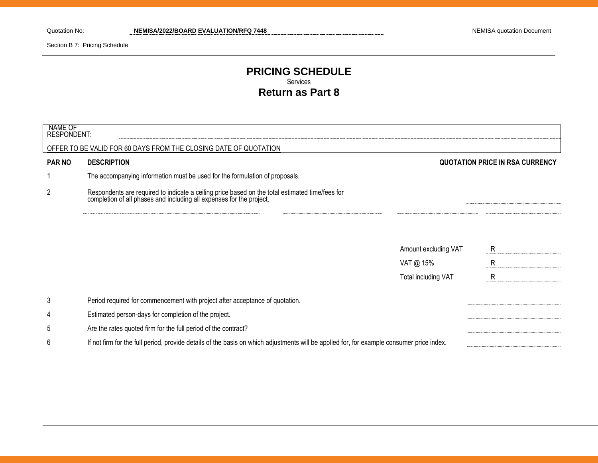Section B 7: Pricing Schedule

### **PRICING SCHEDULE** Services **Return as Part 8**

| NAME OF<br><b>RESPONDENT:</b> |                                                                                                                                                                      |                      |                                 |
|-------------------------------|----------------------------------------------------------------------------------------------------------------------------------------------------------------------|----------------------|---------------------------------|
|                               | OFFER TO BE VALID FOR 60 DAYS FROM THE CLOSING DATE OF QUOTATION                                                                                                     |                      |                                 |
| <b>PAR NO</b>                 | <b>DESCRIPTION</b>                                                                                                                                                   |                      | QUOTATION PRICE IN RSA CURRENCY |
|                               | The accompanying information must be used for the formulation of proposals.                                                                                          |                      |                                 |
| $\overline{2}$                | Respondents are required to indicate a ceiling price based on the total estimated time/fees for completion of all phases and including all expenses for the project. |                      |                                 |
|                               |                                                                                                                                                                      |                      |                                 |
|                               |                                                                                                                                                                      | Amount excluding VAT | R                               |
|                               |                                                                                                                                                                      | VAT @ 15%            | $\mathsf{R}$                    |
|                               |                                                                                                                                                                      | Total including VAT  | $\mathsf{R}$                    |
| 3                             | Period required for commencement with project after acceptance of quotation.                                                                                         |                      |                                 |
| 4                             | Estimated person-days for completion of the project.                                                                                                                 |                      |                                 |
| 5                             | Are the rates quoted firm for the full period of the contract?                                                                                                       |                      |                                 |
| 6                             | If not firm for the full period, provide details of the basis on which adjustments will be applied for, for example consumer price index.                            |                      |                                 |